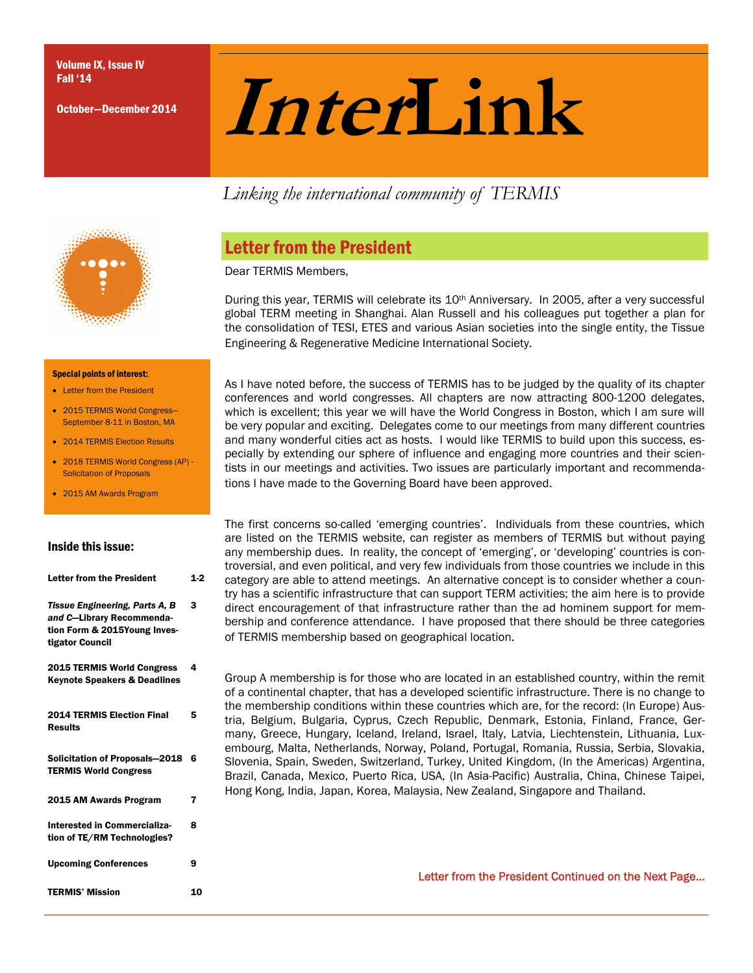October—December 2014

# Fall '14<br>October-December 2014 **Inter**

*Linking the international community of TERMIS* 



## Letter from the President

Dear TERMIS Members,

During this year, TERMIS will celebrate its 10<sup>th</sup> Anniversary. In 2005, after a very successful global TERM meeting in Shanghai. Alan Russell and his colleagues put together a plan for the consolidation of TESI, ETES and various Asian societies into the single entity, the Tissue Engineering & Regenerative Medicine International Society.

Special points of interest:

- **.** Letter from the President
- 2015 TERMIS World Congress— September 8-11 in Boston, MA
- 2014 TERMIS Election Results
- 2018 TERMIS World Congress (AP) Solicitation of Proposals
- 2015 AM Awards Program

#### Inside this issue:

| <b>Letter from the President</b>                                                                               | $1-2$ |
|----------------------------------------------------------------------------------------------------------------|-------|
| Tissue Engineering, Parts A, B<br>and C-Library Recommenda-<br>tion Form & 2015Young Inves-<br>tigator Council | з     |
| <b>2015 TERMIS World Congress</b><br><b>Keynote Speakers &amp; Deadlines</b>                                   | 4     |
| <b>2014 TERMIS Election Final</b><br><b>Results</b>                                                            | 5     |
| <b>Solicitation of Proposals-2018</b><br><b>TERMIS World Congress</b>                                          | 6     |
| 2015 AM Awards Program                                                                                         | 7     |
| Interested in Commercializa-<br>tion of TE/RM Technologies?                                                    | 8     |
| <b>Upcoming Conferences</b>                                                                                    | 9     |
| <b>TERMIS' Mission</b>                                                                                         | 10    |

As I have noted before, the success of TERMIS has to be judged by the quality of its chapter conferences and world congresses. All chapters are now attracting 800-1200 delegates, which is excellent; this year we will have the World Congress in Boston, which I am sure will be very popular and exciting. Delegates come to our meetings from many different countries and many wonderful cities act as hosts. I would like TERMIS to build upon this success, especially by extending our sphere of influence and engaging more countries and their scientists in our meetings and activities. Two issues are particularly important and recommendations I have made to the Governing Board have been approved.

The first concerns so-called 'emerging countries'. Individuals from these countries, which are listed on the TERMIS website, can register as members of TERMIS but without paying any membership dues. In reality, the concept of 'emerging', or 'developing' countries is controversial, and even political, and very few individuals from those countries we include in this category are able to attend meetings. An alternative concept is to consider whether a country has a scientific infrastructure that can support TERM activities; the aim here is to provide direct encouragement of that infrastructure rather than the ad hominem support for membership and conference attendance. I have proposed that there should be three categories of TERMIS membership based on geographical location.

Group A membership is for those who are located in an established country, within the remit of a continental chapter, that has a developed scientific infrastructure. There is no change to the membership conditions within these countries which are, for the record: (In Europe) Austria, Belgium, Bulgaria, Cyprus, Czech Republic, Denmark, Estonia, Finland, France, Germany, Greece, Hungary, Iceland, Ireland, Israel, Italy, Latvia, Liechtenstein, Lithuania, Luxembourg, Malta, Netherlands, Norway, Poland, Portugal, Romania, Russia, Serbia, Slovakia, Slovenia, Spain, Sweden, Switzerland, Turkey, United Kingdom, (In the Americas) Argentina, Brazil, Canada, Mexico, Puerto Rica, USA, (In Asia-Pacific) Australia, China, Chinese Taipei, Hong Kong, India, Japan, Korea, Malaysia, New Zealand, Singapore and Thailand.

Letter from the President Continued on the Next Page...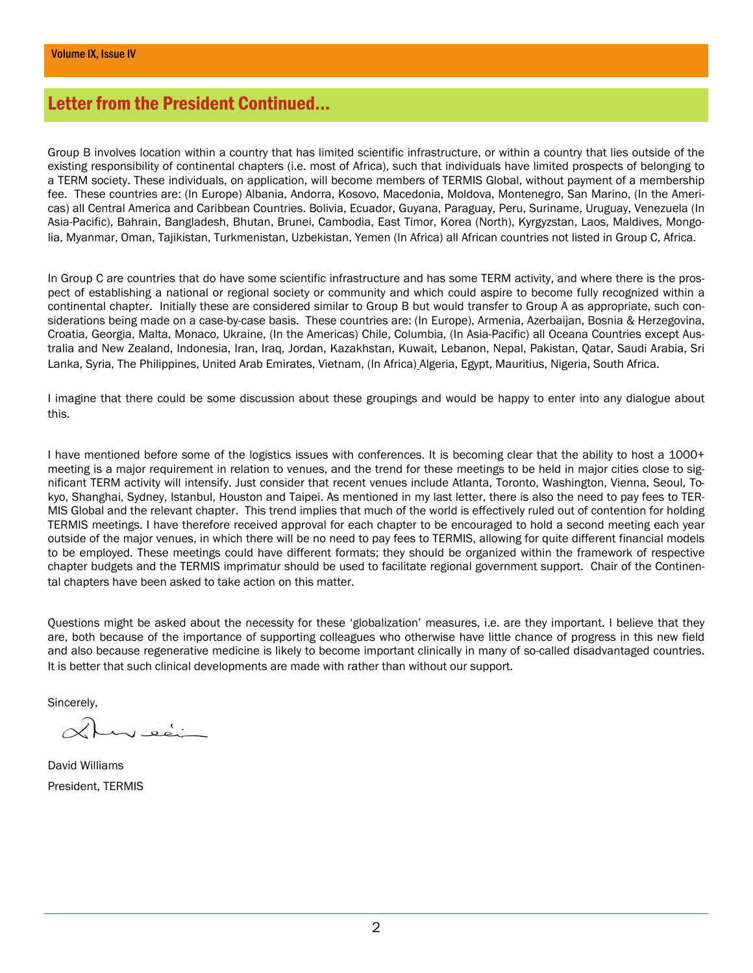## Letter from the President Continued...

Group B involves location within a country that has limited scientific infrastructure, or within a country that lies outside of the existing responsibility of continental chapters (i.e. most of Africa), such that individuals have limited prospects of belonging to a TERM society. These individuals, on application, will become members of TERMIS Global, without payment of a membership fee. These countries are: (In Europe) Albania, Andorra, Kosovo, Macedonia, Moldova, Montenegro, San Marino, (In the Americas) all Central America and Caribbean Countries. Bolivia, Ecuador, Guyana, Paraguay, Peru, Suriname, Uruguay, Venezuela (In Asia-Pacific), Bahrain, Bangladesh, Bhutan, Brunei, Cambodia, East Timor, Korea (North), Kyrgyzstan, Laos, Maldives, Mongolia, Myanmar, Oman, Tajikistan, Turkmenistan, Uzbekistan, Yemen (In Africa) all African countries not listed in Group C, Africa.

In Group C are countries that do have some scientific infrastructure and has some TERM activity, and where there is the prospect of establishing a national or regional society or community and which could aspire to become fully recognized within a continental chapter. Initially these are considered similar to Group B but would transfer to Group A as appropriate, such considerations being made on a case-by-case basis. These countries are: (In Europe), Armenia, Azerbaijan, Bosnia & Herzegovina, Croatia, Georgia, Malta, Monaco, Ukraine, (In the Americas) Chile, Columbia, (In Asia-Pacific) all Oceana Countries except Australia and New Zealand, Indonesia, Iran, Iraq, Jordan, Kazakhstan, Kuwait, Lebanon, Nepal, Pakistan, Qatar, Saudi Arabia, Sri Lanka, Syria, The Philippines, United Arab Emirates, Vietnam, (In Africa) Algeria, Egypt, Mauritius, Nigeria, South Africa.

I imagine that there could be some discussion about these groupings and would be happy to enter into any dialogue about this.

I have mentioned before some of the logistics issues with conferences. It is becoming clear that the ability to host a 1000+ meeting is a major requirement in relation to venues, and the trend for these meetings to be held in major cities close to significant TERM activity will intensify. Just consider that recent venues include Atlanta, Toronto, Washington, Vienna, Seoul, Tokyo, Shanghai, Sydney, Istanbul, Houston and Taipei. As mentioned in my last letter, there is also the need to pay fees to TER-MIS Global and the relevant chapter. This trend implies that much of the world is effectively ruled out of contention for holding TERMIS meetings. I have therefore received approval for each chapter to be encouraged to hold a second meeting each year outside of the major venues, in which there will be no need to pay fees to TERMIS, allowing for quite different financial models to be employed. These meetings could have different formats; they should be organized within the framework of respective chapter budgets and the TERMIS imprimatur should be used to facilitate regional government support. Chair of the Continental chapters have been asked to take action on this matter.

Questions might be asked about the necessity for these 'globalization' measures, i.e. are they important. I believe that they are, both because of the importance of supporting colleagues who otherwise have little chance of progress in this new field and also because regenerative medicine is likely to become important clinically in many of so-called disadvantaged countries. It is better that such clinical developments are made with rather than without our support.

Sincerely,

David Williams President, TERMIS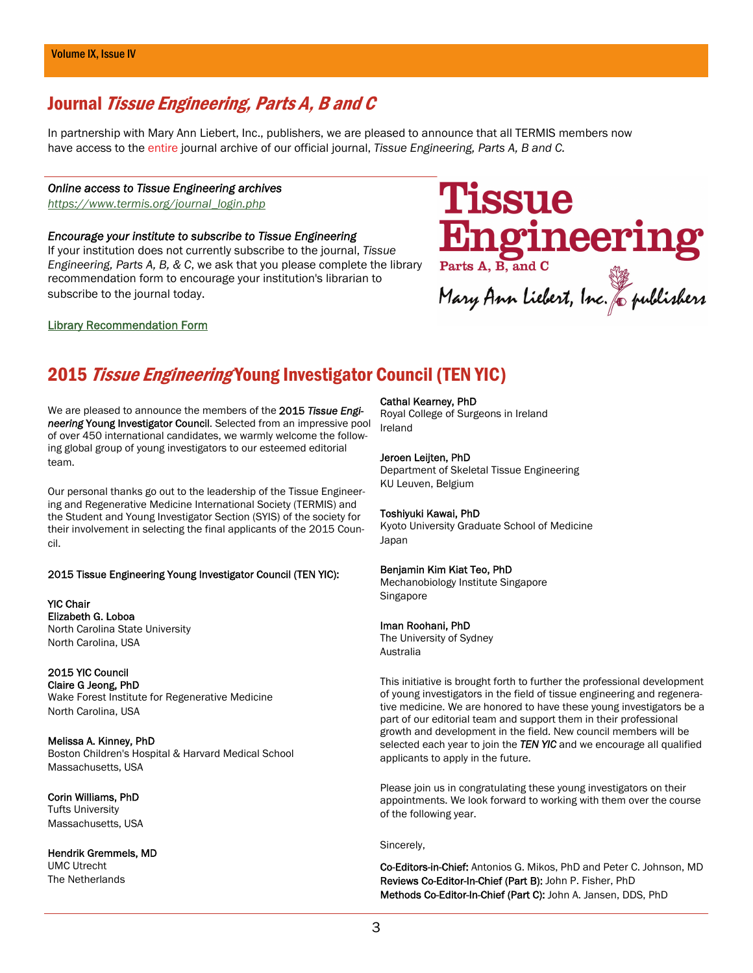## Journal Tissue Engineering, Parts A, B and C

In partnership with Mary Ann Liebert, Inc., publishers, we are pleased to announce that all TERMIS members now have access to the entire journal archive of our official journal, *Tissue Engineering, Parts A, B and C.* 

#### *Online access to Tissue Engineering archives*

*[https://www.termis.org/journal\\_login.php](https://www.termis.org/journal_login.php)*

#### *Encourage your institute to subscribe to Tissue Engineering*

If your institution does not currently subscribe to the journal, *Tissue Engineering, Parts A, B, & C*, we ask that you please complete the library recommendation form to encourage your institution's librarian to subscribe to the journal today.

## Tissue Engineering<br>Parts A, B, and C<br>Mary Ann Liebert, Inc. & publishers

#### [Library Recommendation Form](http://www.liebertpub.com/products/library.aspx?pid=315)

## 2015 Tissue Engineering Young Investigator Council (TEN YIC)

We are pleased to announce the members of the 2015 *Tissue Engineering* Young Investigator Council. Selected from an impressive pool of over 450 international candidates, we warmly welcome the following global group of young investigators to our esteemed editorial team.

Our personal thanks go out to the leadership of the Tissue Engineering and Regenerative Medicine International Society (TERMIS) and the Student and Young Investigator Section (SYIS) of the society for their involvement in selecting the final applicants of the 2015 Council.

#### 2015 Tissue Engineering Young Investigator Council (TEN YIC):

YIC Chair Elizabeth G. Loboa North Carolina State University North Carolina, USA

### 2015 YIC Council

Claire G Jeong, PhD Wake Forest Institute for Regenerative Medicine North Carolina, USA

Melissa A. Kinney, PhD Boston Children's Hospital & Harvard Medical School Massachusetts, USA

Corin Williams, PhD Tufts University Massachusetts, USA

Hendrik Gremmels, MD UMC Utrecht The Netherlands

#### Cathal Kearney, PhD

Royal College of Surgeons in Ireland Ireland

#### Jeroen Leijten, PhD

Department of Skeletal Tissue Engineering KU Leuven, Belgium

#### Toshiyuki Kawai, PhD

Kyoto University Graduate School of Medicine Japan

#### Benjamin Kim Kiat Teo, PhD

Mechanobiology Institute Singapore Singapore

#### Iman Roohani, PhD

The University of Sydney Australia

This initiative is brought forth to further the professional development of young investigators in the field of tissue engineering and regenerative medicine. We are honored to have these young investigators be a part of our editorial team and support them in their professional growth and development in the field. New council members will be selected each year to join the *TEN YIC* and we encourage all qualified applicants to apply in the future.

Please join us in congratulating these young investigators on their appointments. We look forward to working with them over the course of the following year.

#### Sincerely,

Co-Editors-in-Chief: Antonios G. Mikos, PhD and Peter C. Johnson, MD Reviews Co-Editor-In-Chief (Part B): John P. Fisher, PhD Methods Co-Editor-In-Chief (Part C): John A. Jansen, DDS, PhD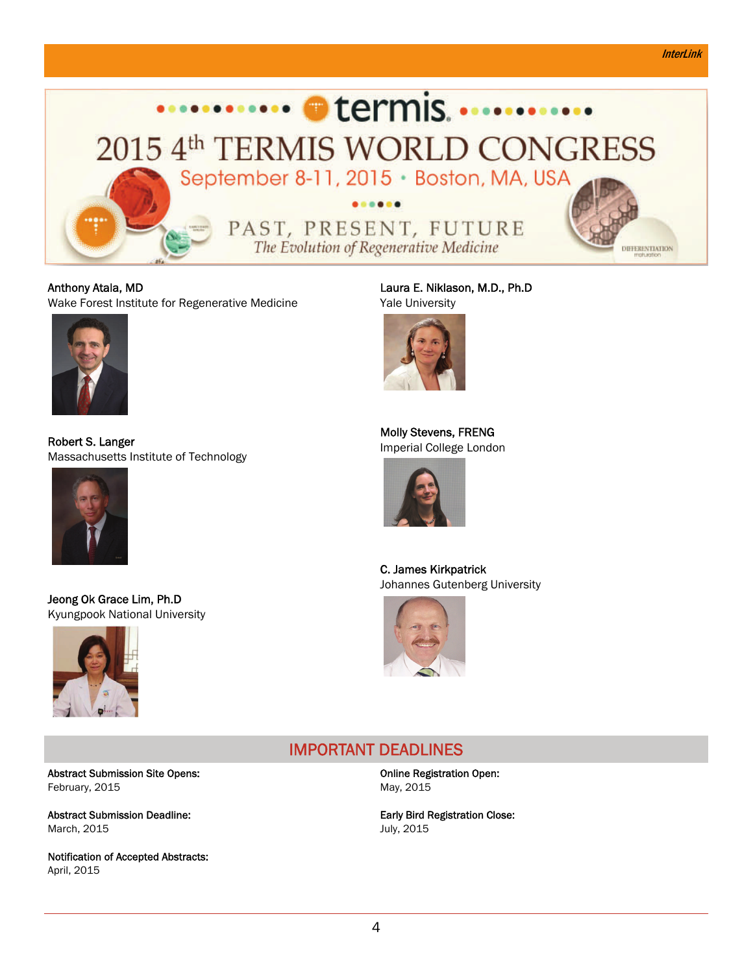#### **InterLink**



Anthony Atala, MD Wake Forest Institute for Regenerative Medicine



Robert S. Langer Massachusetts Institute of Technology



Jeong Ok Grace Lim, Ph.D Kyungpook National University



Abstract Submission Site Opens: February, 2015

Abstract Submission Deadline: March, 2015

Notification of Accepted Abstracts: April, 2015

Laura E. Niklason, M.D., Ph.D Yale University



Molly Stevens, FRENG Imperial College London



C. James Kirkpatrick Johannes Gutenberg University



## IMPORTANT DEADLINES

Online Registration Open: May, 2015

Early Bird Registration Close: July, 2015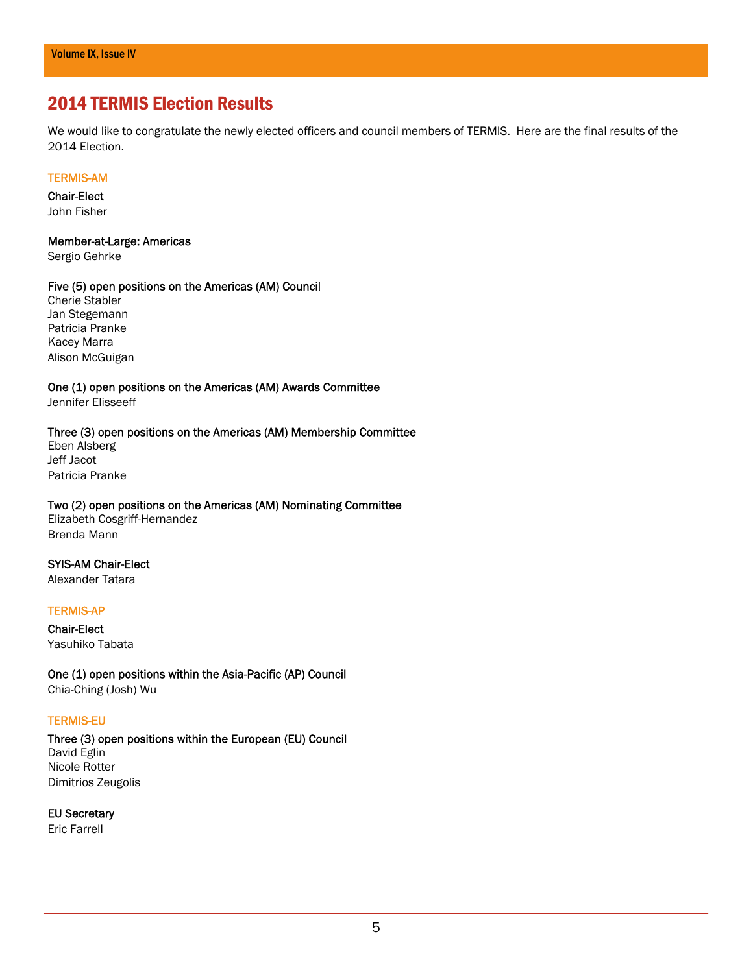## 2014 TERMIS Election Results

We would like to congratulate the newly elected officers and council members of TERMIS. Here are the final results of the 2014 Election.

#### TERMIS-AM

Chair-Elect John Fisher

Member-at-Large: Americas Sergio Gehrke

#### Five (5) open positions on the Americas (AM) Council

Cherie Stabler Jan Stegemann Patricia Pranke Kacey Marra Alison McGuigan

One (1) open positions on the Americas (AM) Awards Committee Jennifer Elisseeff

#### Three (3) open positions on the Americas (AM) Membership Committee

Eben Alsberg Jeff Jacot Patricia Pranke

## Two (2) open positions on the Americas (AM) Nominating Committee

Elizabeth Cosgriff-Hernandez Brenda Mann

#### SYIS-AM Chair-Elect

Alexander Tatara

#### TERMIS-AP

Chair-Elect Yasuhiko Tabata

One (1) open positions within the Asia-Pacific (AP) Council Chia-Ching (Josh) Wu

#### TERMIS-EU

Three (3) open positions within the European (EU) Council David Eglin Nicole Rotter Dimitrios Zeugolis

EU Secretary

Eric Farrell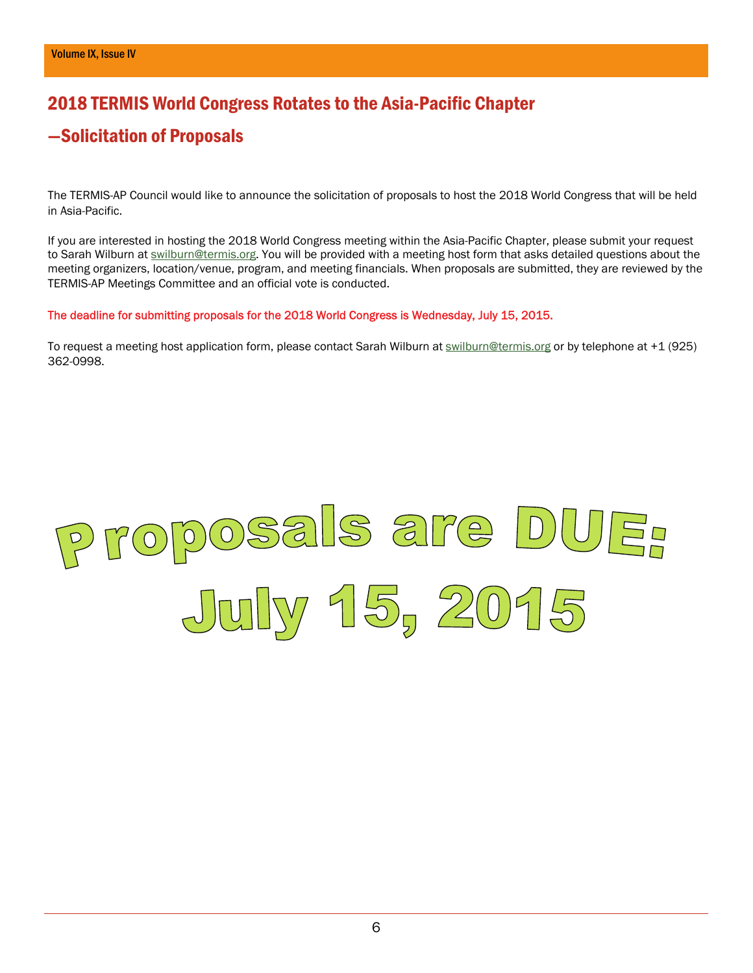## 2018 TERMIS World Congress Rotates to the Asia-Pacific Chapter

## —Solicitation of Proposals

The TERMIS-AP Council would like to announce the solicitation of proposals to host the 2018 World Congress that will be held in Asia-Pacific.

If you are interested in hosting the 2018 World Congress meeting within the Asia-Pacific Chapter, please submit your request to Sarah Wilburn at **[swilburn@termis.org](mailto:swilburn@termis.org)**. You will be provided with a meeting host form that asks detailed questions about the meeting organizers, location/venue, program, and meeting financials. When proposals are submitted, they are reviewed by the TERMIS-AP Meetings Committee and an official vote is conducted.

#### The deadline for submitting proposals for the 2018 World Congress is Wednesday, July 15, 2015.

To request a meeting host application form, please contact Sarah Wilburn at [swilburn@termis.org](mailto:swilburn@termis.org) or by telephone at +1 (925) 362-0998.

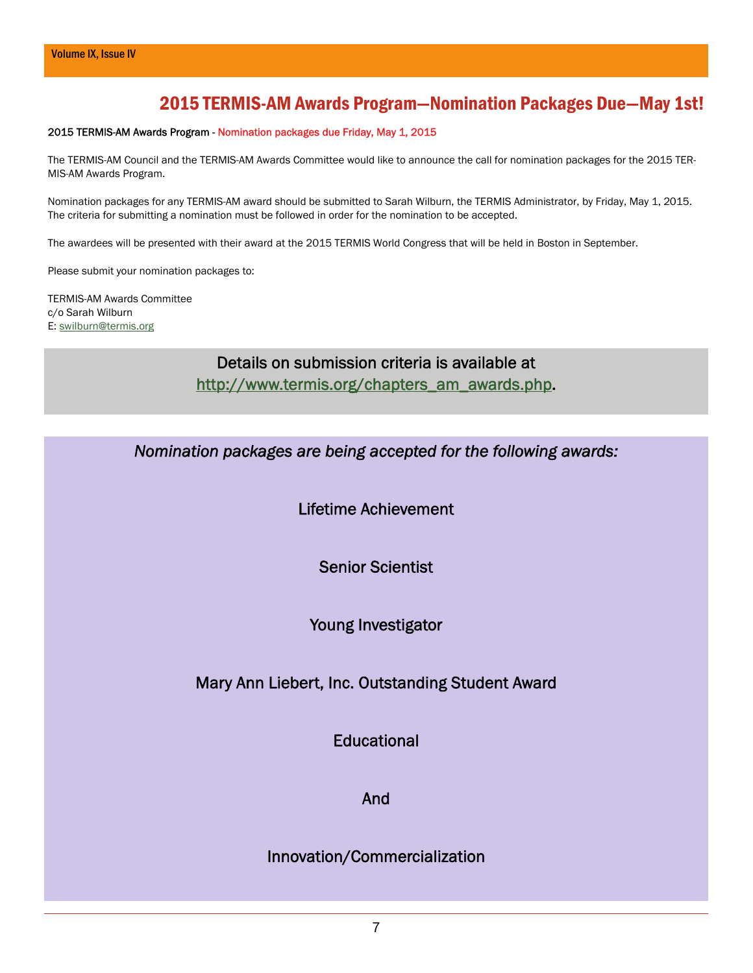## 2015 TERMIS-AM Awards Program—Nomination Packages Due—May 1st!

#### 2015 TERMIS-AM Awards Program - Nomination packages due Friday, May 1, 2015

The TERMIS-AM Council and the TERMIS-AM Awards Committee would like to announce the call for nomination packages for the 2015 TER-MIS-AM Awards Program.

Nomination packages for any TERMIS-AM award should be submitted to Sarah Wilburn, the TERMIS Administrator, by Friday, May 1, 2015. The criteria for submitting a nomination must be followed in order for the nomination to be accepted.

The awardees will be presented with their award at the 2015 TERMIS World Congress that will be held in Boston in September.

Please submit your nomination packages to:

TERMIS-AM Awards Committee c/o Sarah Wilburn E: [swilburn@termis.org](mailto:swilburn@termis.org)

> Details on submission criteria is available at [http://www.termis.org/chapters\\_am\\_awards.php](http://www.termis.org/chapters_am_awards.php).

*Nomination packages are being accepted for the following awards:* 

Lifetime Achievement

Senior Scientist

Young Investigator

Mary Ann Liebert, Inc. Outstanding Student Award

**Educational** 

And

Innovation/Commercialization

7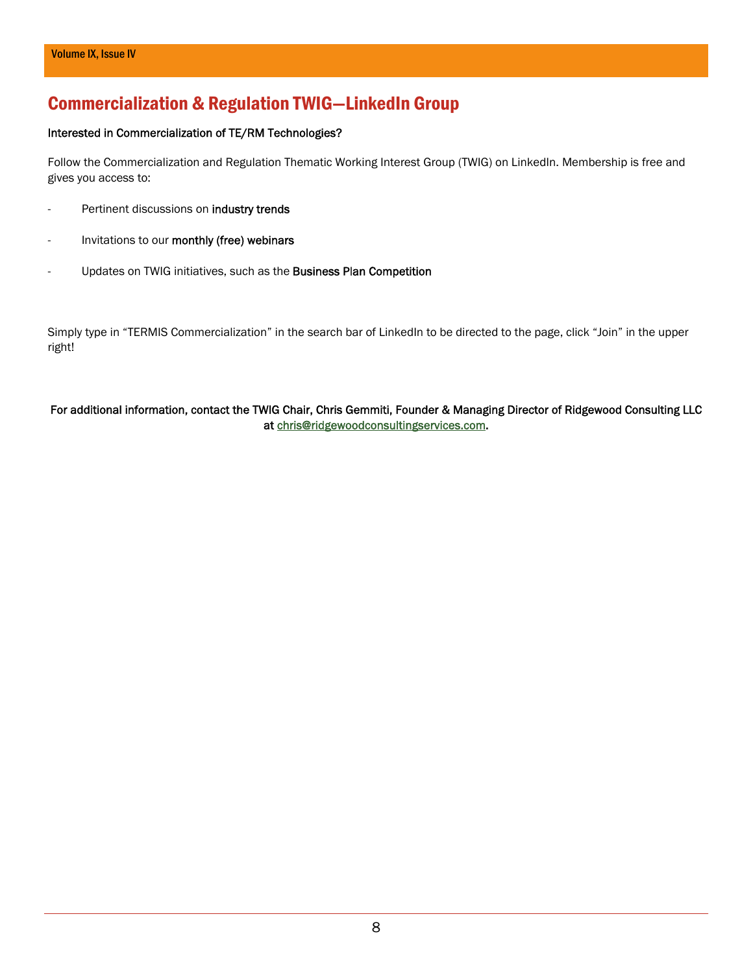## Commercialization & Regulation TWIG—LinkedIn Group

#### Interested in Commercialization of TE/RM Technologies?

Follow the Commercialization and Regulation Thematic Working Interest Group (TWIG) on LinkedIn. Membership is free and gives you access to:

- Pertinent discussions on industry trends
- Invitations to our monthly (free) webinars
- Updates on TWIG initiatives, such as the **Business Plan Competition**

Simply type in "TERMIS Commercialization" in the search bar of LinkedIn to be directed to the page, click "Join" in the upper right!

#### For additional information, contact the TWIG Chair, Chris Gemmiti, Founder & Managing Director of Ridgewood Consulting LLC at [chris@ridgewoodconsultingservices.com](mailto:chris@ridgewoodconsultingservices.com).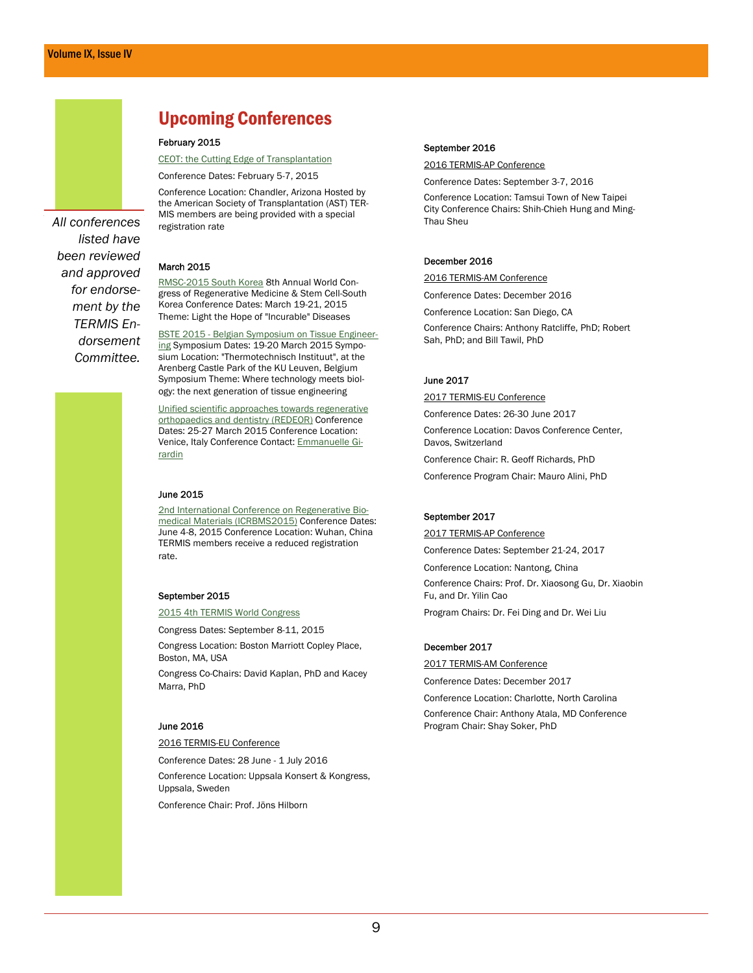## *All conferences listed have been reviewed and approved for endorsement by the TERMIS Endorsement*

*Committee.* 

## Upcoming Conferences

#### February 2015

[CEOT: the Cutting Edge of Transplantation](http://2015.ceot.myast.org/)

Conference Dates: February 5-7, 2015

Conference Location: Chandler, Arizona Hosted by the American Society of Transplantation (AST) TER-MIS members are being provided with a special registration rate

#### March 2015

[RMSC-2015 South Korea](http://www.bitcongress.com/RMSC-Korea2015/) 8th Annual World Congress of Regenerative Medicine & Stem Cell-South Korea Conference Dates: March 19-21, 2015 Theme: Light the Hope of "Incurable" Diseases

[BSTE 2015 - Belgian Symposium on Tissue Engineer](https://www.mtm.kuleuven.be/prometheus/BSTE/Home)[ing](https://www.mtm.kuleuven.be/prometheus/BSTE/Home) Symposium Dates: 19-20 March 2015 Symposium Location: "Thermotechnisch Instituut", at the Arenberg Castle Park of the KU Leuven, Belgium Symposium Theme: Where technology meets biology: the next generation of tissue engineering

[Unified scientific approaches towards regenerative](http://alisf1.univpm.it/redeor/)  [orthopaedics and dentistry \(REDEOR\)](http://alisf1.univpm.it/redeor/) Conference Dates: 25-27 March 2015 Conference Location: Venice, Italy Conference Contact: [Emmanuelle Gi](mailto:e.girardin@univpm.it)[rardin](mailto:e.girardin@univpm.it)

#### June 2015

[2nd International Conference on Regenerative Bio](http://icrbm2013.com/sites/default/files/html/)[medical Materials \(ICRBMS2015\)](http://icrbm2013.com/sites/default/files/html/) Conference Dates: June 4-8, 2015 Conference Location: Wuhan, China TERMIS members receive a reduced registration rate.

#### September 2015

[2015 4th TERMIS World Congress](http://www.termis.org/wc2015) 

Congress Dates: September 8-11, 2015

Congress Location: Boston Marriott Copley Place, Boston, MA, USA

Congress Co-Chairs: David Kaplan, PhD and Kacey Marra, PhD

#### June 2016

2016 TERMIS-EU Conference

Conference Dates: 28 June - 1 July 2016 Conference Location: Uppsala Konsert & Kongress, Uppsala, Sweden

Conference Chair: Prof. Jöns Hilborn

#### September 2016

2016 TERMIS-AP Conference

Conference Dates: September 3-7, 2016

Conference Location: Tamsui Town of New Taipei City Conference Chairs: Shih-Chieh Hung and Ming-Thau Sheu

#### December 2016

2016 TERMIS-AM Conference

Conference Dates: December 2016

Conference Location: San Diego, CA

Conference Chairs: Anthony Ratcliffe, PhD; Robert Sah, PhD; and Bill Tawil, PhD

#### June 2017

2017 TERMIS-EU Conference

Conference Dates: 26-30 June 2017 Conference Location: Davos Conference Center,

Davos, Switzerland

Conference Chair: R. Geoff Richards, PhD

Conference Program Chair: Mauro Alini, PhD

#### September 2017

2017 TERMIS-AP Conference

Conference Dates: September 21-24, 2017

Conference Location: Nantong, China

Conference Chairs: Prof. Dr. Xiaosong Gu, Dr. Xiaobin Fu, and Dr. Yilin Cao

Program Chairs: Dr. Fei Ding and Dr. Wei Liu

#### December 2017

2017 TERMIS-AM Conference

Conference Dates: December 2017

Conference Location: Charlotte, North Carolina Conference Chair: Anthony Atala, MD Conference Program Chair: Shay Soker, PhD